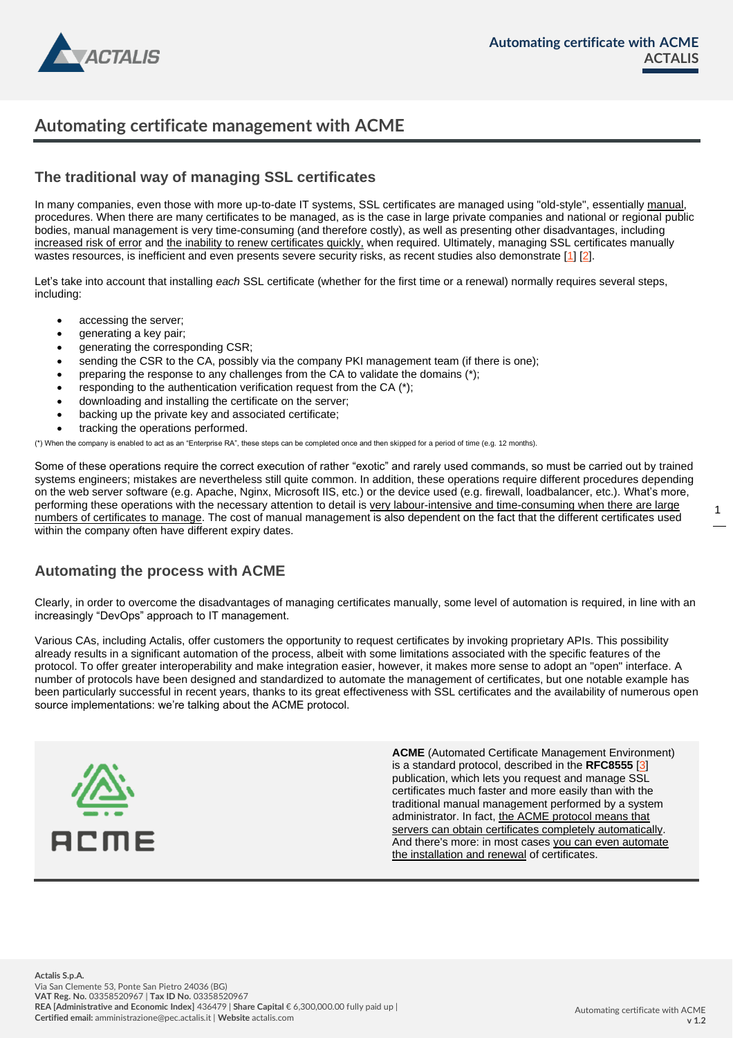

# **Automating certificate management with ACME**

## **The traditional way of managing SSL certificates**

In many companies, even those with more up-to-date IT systems, SSL certificates are managed using "old-style", essentially manual, procedures. When there are many certificates to be managed, as is the case in large private companies and national or regional public bodies, manual management is very time-consuming (and therefore costly), as well as presenting other disadvantages, including increased risk of error and the inability to renew certificates quickly, when required. Ultimately, managing SSL certificates manually wastes resources, is inefficient and even presents severe security risks, as recent studies also demonstrate [1] [2].

Let's take into account that installing *each* SSL certificate (whether for the first time or a renewal) normally requires several steps, including:

- accessing the server;
- generating a key pair;
- generating the corresponding CSR;
- sending the CSR to the CA, possibly via the company PKI management team (if there is one);
- preparing the response to any challenges from the CA to validate the domains (\*);
- responding to the authentication verification request from the CA (\*);
- downloading and installing the certificate on the server;
- backing up the private key and associated certificate;
- tracking the operations performed.

(\*) When the company is enabled to act as an "Enterprise RA", these steps can be completed once and then skipped for a period of time (e.g. 12 months).

Some of these operations require the correct execution of rather "exotic" and rarely used commands, so must be carried out by trained systems engineers; mistakes are nevertheless still quite common. In addition, these operations require different procedures depending on the web server software (e.g. Apache, Nginx, Microsoft IIS, etc.) or the device used (e.g. firewall, loadbalancer, etc.). What's more, performing these operations with the necessary attention to detail is very labour-intensive and time-consuming when there are large numbers of certificates to manage. The cost of manual management is also dependent on the fact that the different certificates used within the company often have different expiry dates.

### **Automating the process with ACME**

Clearly, in order to overcome the disadvantages of managing certificates manually, some level of automation is required, in line with an increasingly "DevOps" approach to IT management.

Various CAs, including Actalis, offer customers the opportunity to request certificates by invoking proprietary APIs. This possibility already results in a significant automation of the process, albeit with some limitations associated with the specific features of the protocol. To offer greater interoperability and make integration easier, however, it makes more sense to adopt an "open" interface. A number of protocols have been designed and standardized to automate the management of certificates, but one notable example has been particularly successful in recent years, thanks to its great effectiveness with SSL certificates and the availability of numerous open source implementations: we're talking about the ACME protocol.



**ACME** (Automated Certificate Management Environment) is a standard protocol, described in the **RFC8555** [3] publication, which lets you request and manage SSL certificates much faster and more easily than with the traditional manual management performed by a system administrator. In fact, the ACME protocol means that servers can obtain certificates completely automatically. And there's more: in most cases you can even automate the installation and renewal of certificates.

1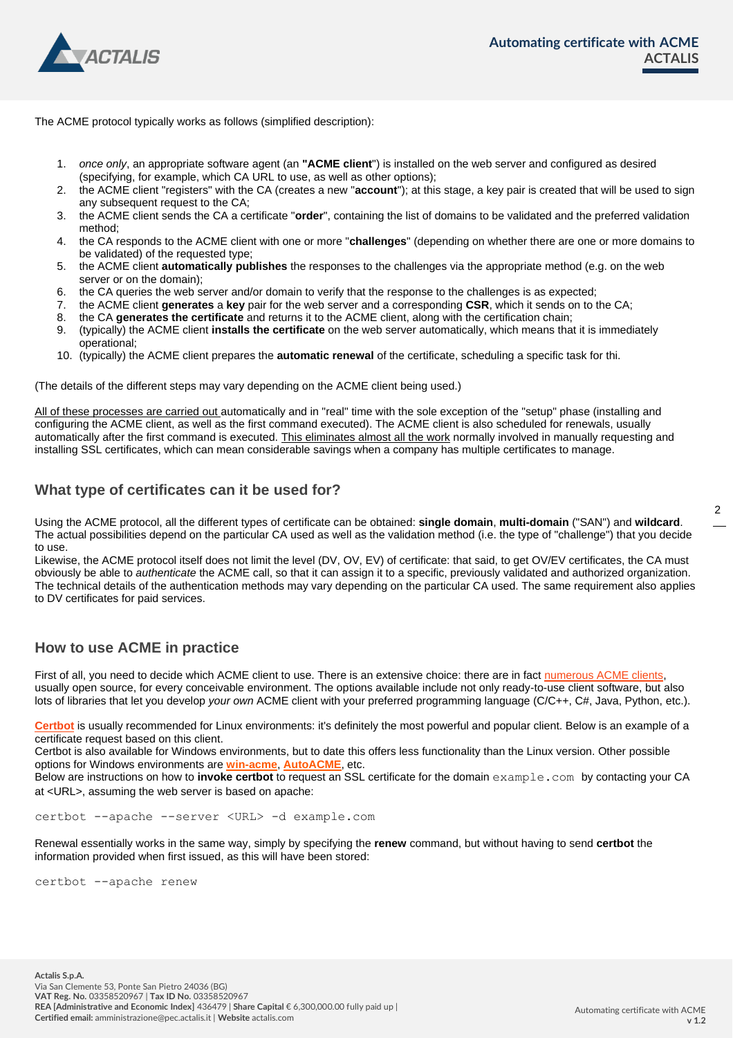

The ACME protocol typically works as follows (simplified description):

- 1. *once only*, an appropriate software agent (an **"ACME client**") is installed on the web server and configured as desired (specifying, for example, which CA URL to use, as well as other options);
- 2. the ACME client "registers" with the CA (creates a new "**account**"); at this stage, a key pair is created that will be used to sign any subsequent request to the CA;
- 3. the ACME client sends the CA a certificate "**order**", containing the list of domains to be validated and the preferred validation method;
- 4. the CA responds to the ACME client with one or more "**challenges**" (depending on whether there are one or more domains to be validated) of the requested type;
- 5. the ACME client **automatically publishes** the responses to the challenges via the appropriate method (e.g. on the web server or on the domain);
- 6. the CA queries the web server and/or domain to verify that the response to the challenges is as expected;
- 7. the ACME client **generates** a **key** pair for the web server and a corresponding **CSR**, which it sends on to the CA;
- 8. the CA **generates the certificate** and returns it to the ACME client, along with the certification chain;
- 9. (typically) the ACME client **installs the certificate** on the web server automatically, which means that it is immediately operational;
- 10. (typically) the ACME client prepares the **automatic renewal** of the certificate, scheduling a specific task for thi.

(The details of the different steps may vary depending on the ACME client being used.)

All of these processes are carried out automatically and in "real" time with the sole exception of the "setup" phase (installing and configuring the ACME client, as well as the first command executed). The ACME client is also scheduled for renewals, usually automatically after the first command is executed. This eliminates almost all the work normally involved in manually requesting and installing SSL certificates, which can mean considerable savings when a company has multiple certificates to manage.

#### **What type of certificates can it be used for?**

Using the ACME protocol, all the different types of certificate can be obtained: **single domain**, **multi-domain** ("SAN") and **wildcard**. The actual possibilities depend on the particular CA used as well as the validation method (i.e. the type of "challenge") that you decide to use.

Likewise, the ACME protocol itself does not limit the level (DV, OV, EV) of certificate: that said, to get OV/EV certificates, the CA must obviously be able to *authenticate* the ACME call, so that it can assign it to a specific, previously validated and authorized organization. The technical details of the authentication methods may vary depending on the particular CA used. The same requirement also applies to DV certificates for paid services.

#### **How to use ACME in practice**

First of all, you need to decide which ACME client to use. There is an extensive choice: there are in fact [numerous ACME clients,](https://letsencrypt.org/docs/client-options/)  usually open source, for every conceivable environment. The options available include not only ready-to-use client software, but also lots of libraries that let you develop *your own* ACME client with your preferred programming language (C/C++, C#, Java, Python, etc.).

**[Certbot](https://certbot.eff.org/)** is usually recommended for Linux environments: it's definitely the most powerful and popular client. Below is an example of a certificate request based on this client.

Certbot is also available for Windows environments, but to date this offers less functionality than the Linux version. Other possible options for Windows environments are **[win-acme](https://www.win-acme.com/)**, **[AutoACME](https://www.autoacme.net/)**, etc.

Below are instructions on how to **invoke certbot** to request an SSL certificate for the domain example.com by contacting your CA at <URL>, assuming the web server is based on apache:

certbot --apache --server <URL> -d example.com

Renewal essentially works in the same way, simply by specifying the **renew** command, but without having to send **certbot** the information provided when first issued, as this will have been stored:

certbot --apache renew